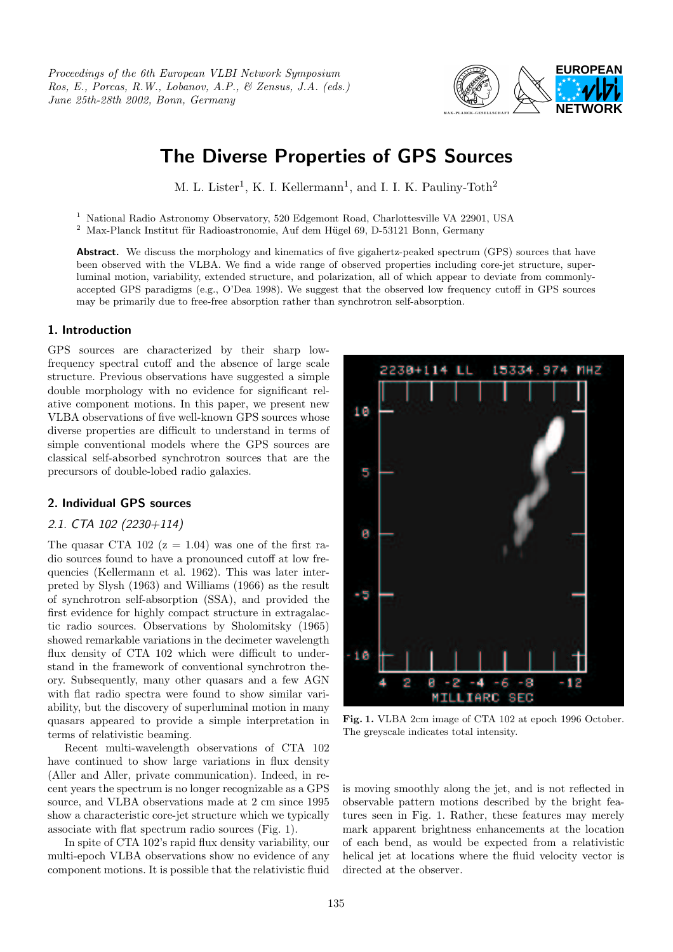Proceedings of the 6th European VLBI Network Symposium Ros, E., Porcas, R.W., Lobanov, A.P., & Zensus, J.A. (eds.) June 25th-28th 2002, Bonn, Germany



# The Diverse Properties of GPS Sources

M. L. Lister<sup>1</sup>, K. I. Kellermann<sup>1</sup>, and I. I. K. Pauliny-Toth<sup>2</sup>

 $^{\rm 1}$  National Radio Astronomy Observatory, 520 Edgemont Road, Charlottesville VA 22901, USA

 $^2\,$  Max-Planck Institut für Radioastronomie, Auf dem Hügel 69, D-53121 Bonn, Germany

Abstract. We discuss the morphology and kinematics of five gigahertz-peaked spectrum (GPS) sources that have been observed with the VLBA. We find a wide range of observed properties including core-jet structure, superluminal motion, variability, extended structure, and polarization, all of which appear to deviate from commonlyaccepted GPS paradigms (e.g., O'Dea 1998). We suggest that the observed low frequency cutoff in GPS sources may be primarily due to free-free absorption rather than synchrotron self-absorption.

### 1. Introduction

GPS sources are characterized by their sharp lowfrequency spectral cutoff and the absence of large scale structure. Previous observations have suggested a simple double morphology with no evidence for significant relative component motions. In this paper, we present new VLBA observations of five well-known GPS sources whose diverse properties are difficult to understand in terms of simple conventional models where the GPS sources are classical self-absorbed synchrotron sources that are the precursors of double-lobed radio galaxies.

## 2. Individual GPS sources

## 2.1. CTA 102 (2230+114)

The quasar CTA 102 ( $z = 1.04$ ) was one of the first radio sources found to have a pronounced cutoff at low frequencies (Kellermann et al. 1962). This was later interpreted by Slysh (1963) and Williams (1966) as the result of synchrotron self-absorption (SSA), and provided the first evidence for highly compact structure in extragalactic radio sources. Observations by Sholomitsky (1965) showed remarkable variations in the decimeter wavelength flux density of CTA 102 which were difficult to understand in the framework of conventional synchrotron theory. Subsequently, many other quasars and a few AGN with flat radio spectra were found to show similar variability, but the discovery of superluminal motion in many quasars appeared to provide a simple interpretation in terms of relativistic beaming.

Recent multi-wavelength observations of CTA 102 have continued to show large variations in flux density (Aller and Aller, private communication). Indeed, in recent years the spectrum is no longer recognizable as a GPS source, and VLBA observations made at 2 cm since 1995 show a characteristic core-jet structure which we typically associate with flat spectrum radio sources (Fig. 1).

In spite of CTA 102's rapid flux density variability, our multi-epoch VLBA observations show no evidence of any component motions. It is possible that the relativistic fluid



Fig. 1. VLBA 2cm image of CTA 102 at epoch 1996 October. The greyscale indicates total intensity.

is moving smoothly along the jet, and is not reflected in observable pattern motions described by the bright features seen in Fig. 1. Rather, these features may merely mark apparent brightness enhancements at the location of each bend, as would be expected from a relativistic helical jet at locations where the fluid velocity vector is directed at the observer.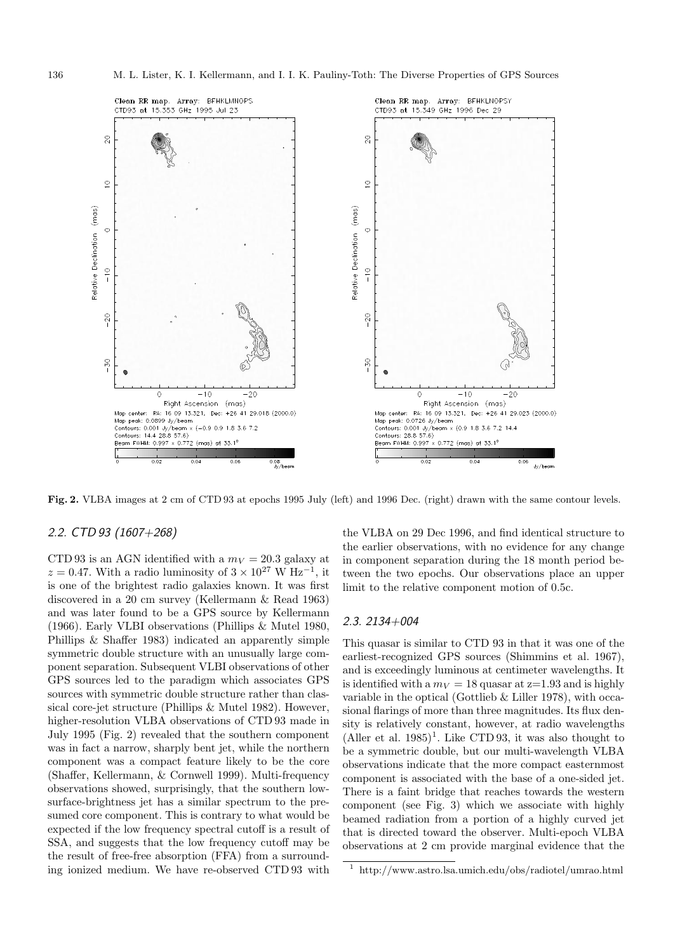

Fig. 2. VLBA images at 2 cm of CTD 93 at epochs 1995 July (left) and 1996 Dec. (right) drawn with the same contour levels.

## 2.2. CTD 93 (1607+268)

CTD 93 is an AGN identified with a  $m_V = 20.3$  galaxy at  $z = 0.47$ . With a radio luminosity of  $3 \times 10^{27}$  W Hz<sup>-1</sup>, it is one of the brightest radio galaxies known. It was first discovered in a 20 cm survey (Kellermann & Read 1963) and was later found to be a GPS source by Kellermann (1966). Early VLBI observations (Phillips & Mutel 1980, Phillips & Shaffer 1983) indicated an apparently simple symmetric double structure with an unusually large component separation. Subsequent VLBI observations of other GPS sources led to the paradigm which associates GPS sources with symmetric double structure rather than classical core-jet structure (Phillips & Mutel 1982). However, higher-resolution VLBA observations of CTD 93 made in July 1995 (Fig. 2) revealed that the southern component was in fact a narrow, sharply bent jet, while the northern component was a compact feature likely to be the core (Shaffer, Kellermann, & Cornwell 1999). Multi-frequency observations showed, surprisingly, that the southern lowsurface-brightness jet has a similar spectrum to the presumed core component. This is contrary to what would be expected if the low frequency spectral cutoff is a result of SSA, and suggests that the low frequency cutoff may be the result of free-free absorption (FFA) from a surrounding ionized medium. We have re-observed CTD 93 with

the VLBA on 29 Dec 1996, and find identical structure to the earlier observations, with no evidence for any change in component separation during the 18 month period between the two epochs. Our observations place an upper limit to the relative component motion of 0.5c.

#### 2.3. 2134+004

This quasar is similar to CTD 93 in that it was one of the earliest-recognized GPS sources (Shimmins et al. 1967), and is exceedingly luminous at centimeter wavelengths. It is identified with a  $m_V = 18$  quasar at  $z=1.93$  and is highly variable in the optical (Gottlieb & Liller 1978), with occasional flarings of more than three magnitudes. Its flux density is relatively constant, however, at radio wavelengths (Aller et al. 1985) 1 . Like CTD 93, it was also thought to be a symmetric double, but our multi-wavelength VLBA observations indicate that the more compact easternmost component is associated with the base of a one-sided jet. There is a faint bridge that reaches towards the western component (see Fig. 3) which we associate with highly beamed radiation from a portion of a highly curved jet that is directed toward the observer. Multi-epoch VLBA observations at 2 cm provide marginal evidence that the

<sup>1</sup> http://www.astro.lsa.umich.edu/obs/radiotel/umrao.html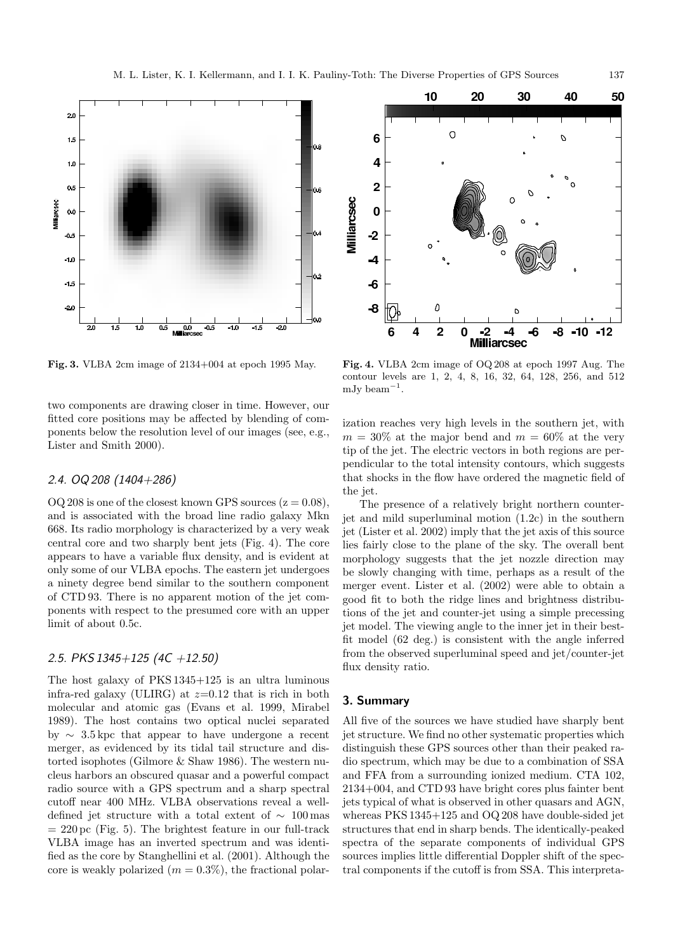



Fig. 3. VLBA 2cm image of 2134+004 at epoch 1995 May.

two components are drawing closer in time. However, our fitted core positions may be affected by blending of components below the resolution level of our images (see, e.g., Lister and Smith 2000).

## 2.4. OQ 208 (1404+286)

OQ 208 is one of the closest known GPS sources  $(z = 0.08)$ , and is associated with the broad line radio galaxy Mkn 668. Its radio morphology is characterized by a very weak central core and two sharply bent jets (Fig. 4). The core appears to have a variable flux density, and is evident at only some of our VLBA epochs. The eastern jet undergoes a ninety degree bend similar to the southern component of CTD 93. There is no apparent motion of the jet components with respect to the presumed core with an upper limit of about 0.5c.

#### 2.5. PKS 1345+125 (4C +12.50)

The host galaxy of PKS 1345+125 is an ultra luminous infra-red galaxy (ULIRG) at  $z=0.12$  that is rich in both molecular and atomic gas (Evans et al. 1999, Mirabel 1989). The host contains two optical nuclei separated by  $\sim$  3.5 kpc that appear to have undergone a recent merger, as evidenced by its tidal tail structure and distorted isophotes (Gilmore & Shaw 1986). The western nucleus harbors an obscured quasar and a powerful compact radio source with a GPS spectrum and a sharp spectral cutoff near 400 MHz. VLBA observations reveal a welldefined jet structure with a total extent of  $\sim 100 \,\text{mas}$  $= 220 \,\mathrm{pc}$  (Fig. 5). The brightest feature in our full-track VLBA image has an inverted spectrum and was identified as the core by Stanghellini et al. (2001). Although the core is weakly polarized  $(m = 0.3\%)$ , the fractional polar-

contour levels are 1, 2, 4, 8, 16, 32, 64, 128, 256, and 512 mJy beam<sup>-1</sup>.

Fig. 4. VLBA 2cm image of OQ 208 at epoch 1997 Aug. The

ization reaches very high levels in the southern jet, with  $m = 30\%$  at the major bend and  $m = 60\%$  at the very tip of the jet. The electric vectors in both regions are perpendicular to the total intensity contours, which suggests that shocks in the flow have ordered the magnetic field of the jet.

The presence of a relatively bright northern counterjet and mild superluminal motion (1.2c) in the southern jet (Lister et al. 2002) imply that the jet axis of this source lies fairly close to the plane of the sky. The overall bent morphology suggests that the jet nozzle direction may be slowly changing with time, perhaps as a result of the merger event. Lister et al. (2002) were able to obtain a good fit to both the ridge lines and brightness distributions of the jet and counter-jet using a simple precessing jet model. The viewing angle to the inner jet in their bestfit model (62 deg.) is consistent with the angle inferred from the observed superluminal speed and jet/counter-jet flux density ratio.

## 3. Summary

All five of the sources we have studied have sharply bent jet structure. We find no other systematic properties which distinguish these GPS sources other than their peaked radio spectrum, which may be due to a combination of SSA and FFA from a surrounding ionized medium. CTA 102, 2134+004, and CTD 93 have bright cores plus fainter bent jets typical of what is observed in other quasars and AGN, whereas PKS 1345+125 and OQ 208 have double-sided jet structures that end in sharp bends. The identically-peaked spectra of the separate components of individual GPS sources implies little differential Doppler shift of the spectral components if the cutoff is from SSA. This interpreta-